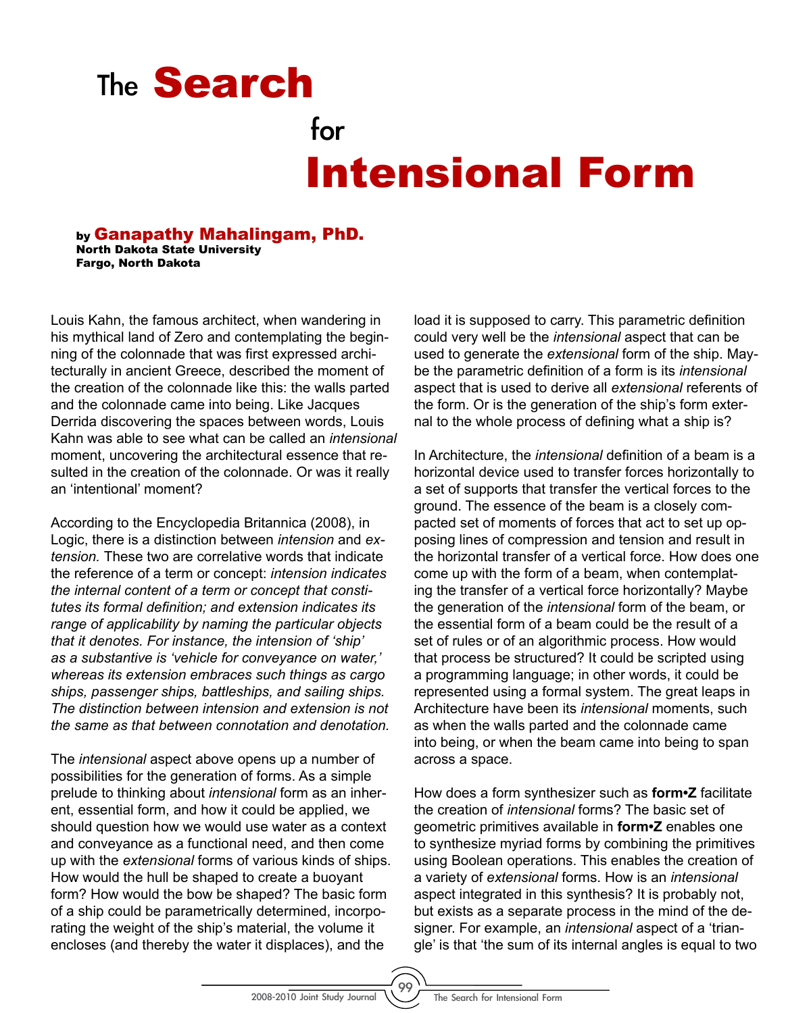## Intensional Form The **Search** for

by Ganapathy Mahalingam, PhD. North Dakota State University Fargo, North Dakota

Louis Kahn, the famous architect, when wandering in his mythical land of Zero and contemplating the beginning of the colonnade that was first expressed architecturally in ancient Greece, described the moment of the creation of the colonnade like this: the walls parted and the colonnade came into being. Like Jacques Derrida discovering the spaces between words, Louis Kahn was able to see what can be called an *intensional* moment, uncovering the architectural essence that resulted in the creation of the colonnade. Or was it really an 'intentional' moment?

According to the Encyclopedia Britannica (2008), in Logic, there is a distinction between *intension* and *extension.* These two are correlative words that indicate the reference of a term or concept: *intension indicates the internal content of a term or concept that constitutes its formal definition; and extension indicates its range of applicability by naming the particular objects that it denotes. For instance, the intension of 'ship' as a substantive is 'vehicle for conveyance on water,' whereas its extension embraces such things as cargo ships, passenger ships, battleships, and sailing ships. The distinction between intension and extension is not the same as that between connotation and denotation.*

The *intensional* aspect above opens up a number of possibilities for the generation of forms. As a simple prelude to thinking about *intensional* form as an inherent, essential form, and how it could be applied, we should question how we would use water as a context and conveyance as a functional need, and then come up with the *extensional* forms of various kinds of ships. How would the hull be shaped to create a buoyant form? How would the bow be shaped? The basic form of a ship could be parametrically determined, incorporating the weight of the ship's material, the volume it encloses (and thereby the water it displaces), and the

load it is supposed to carry. This parametric definition could very well be the *intensional* aspect that can be used to generate the *extensional* form of the ship. Maybe the parametric definition of a form is its *intensional* aspect that is used to derive all *extensional* referents of the form. Or is the generation of the ship's form external to the whole process of defining what a ship is?

In Architecture, the *intensional* definition of a beam is a horizontal device used to transfer forces horizontally to a set of supports that transfer the vertical forces to the ground. The essence of the beam is a closely compacted set of moments of forces that act to set up opposing lines of compression and tension and result in the horizontal transfer of a vertical force. How does one come up with the form of a beam, when contemplating the transfer of a vertical force horizontally? Maybe the generation of the *intensional* form of the beam, or the essential form of a beam could be the result of a set of rules or of an algorithmic process. How would that process be structured? It could be scripted using a programming language; in other words, it could be represented using a formal system. The great leaps in Architecture have been its *intensional* moments, such as when the walls parted and the colonnade came into being, or when the beam came into being to span across a space.

How does a form synthesizer such as **form•Z** facilitate the creation of *intensional* forms? The basic set of geometric primitives available in **form•Z** enables one to synthesize myriad forms by combining the primitives using Boolean operations. This enables the creation of a variety of *extensional* forms. How is an *intensional* aspect integrated in this synthesis? It is probably not, but exists as a separate process in the mind of the designer. For example, an *intensional* aspect of a 'triangle' is that 'the sum of its internal angles is equal to two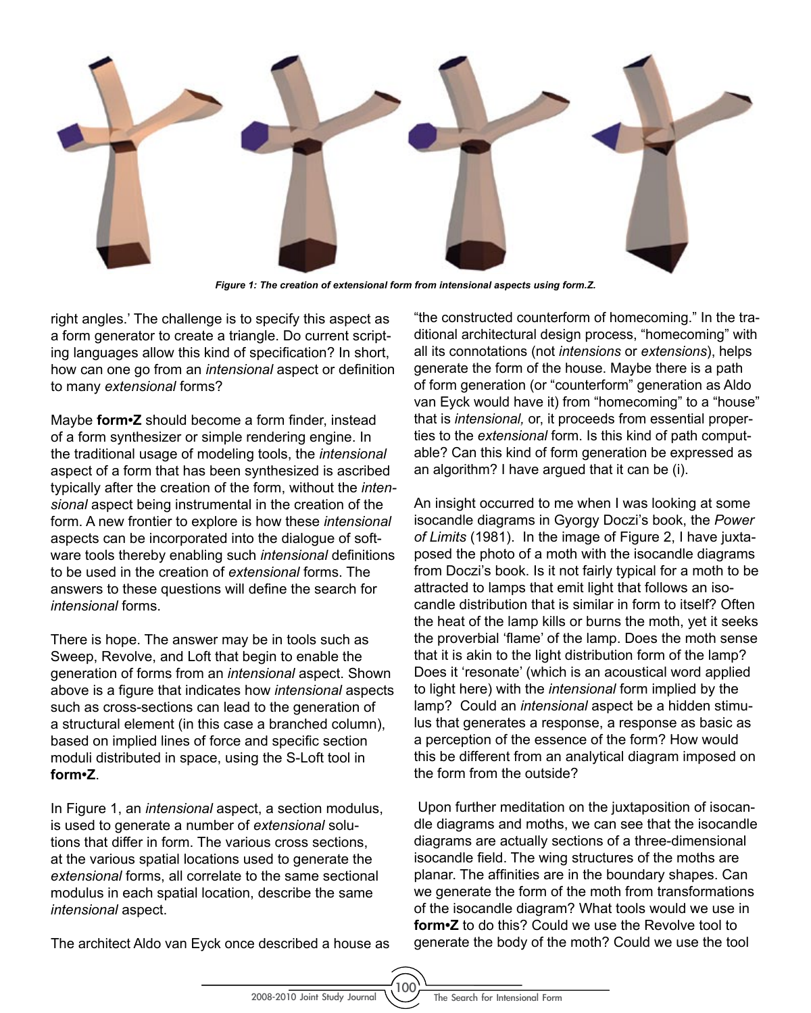

*Figure 1: The creation of extensional form from intensional aspects using form.Z.* 

right angles.' The challenge is to specify this aspect as a form generator to create a triangle. Do current scripting languages allow this kind of specification? In short, how can one go from an *intensional* aspect or definition to many *extensional* forms?

Maybe **form•Z** should become a form finder, instead of a form synthesizer or simple rendering engine. In the traditional usage of modeling tools, the *intensional* aspect of a form that has been synthesized is ascribed typically after the creation of the form, without the *intensional* aspect being instrumental in the creation of the form. A new frontier to explore is how these *intensional* aspects can be incorporated into the dialogue of software tools thereby enabling such *intensional* definitions to be used in the creation of *extensional* forms. The answers to these questions will define the search for *intensional* forms.

There is hope. The answer may be in tools such as Sweep, Revolve, and Loft that begin to enable the generation of forms from an *intensional* aspect. Shown above is a figure that indicates how *intensional* aspects such as cross-sections can lead to the generation of a structural element (in this case a branched column), based on implied lines of force and specific section moduli distributed in space, using the S-Loft tool in **form•Z**.

In Figure 1, an *intensional* aspect, a section modulus, is used to generate a number of *extensional* solutions that differ in form. The various cross sections, at the various spatial locations used to generate the *extensional* forms, all correlate to the same sectional modulus in each spatial location, describe the same *intensional* aspect.

The architect Aldo van Eyck once described a house as

"the constructed counterform of homecoming." In the traditional architectural design process, "homecoming" with all its connotations (not *intensions* or *extensions*), helps generate the form of the house. Maybe there is a path of form generation (or "counterform" generation as Aldo van Eyck would have it) from "homecoming" to a "house" that is *intensional,* or, it proceeds from essential properties to the *extensional* form. Is this kind of path computable? Can this kind of form generation be expressed as an algorithm? I have argued that it can be (i).

An insight occurred to me when I was looking at some isocandle diagrams in Gyorgy Doczi's book, the *Power of Limits* (1981). In the image of Figure 2, I have juxtaposed the photo of a moth with the isocandle diagrams from Doczi's book. Is it not fairly typical for a moth to be attracted to lamps that emit light that follows an isocandle distribution that is similar in form to itself? Often the heat of the lamp kills or burns the moth, yet it seeks the proverbial 'flame' of the lamp. Does the moth sense that it is akin to the light distribution form of the lamp? Does it 'resonate' (which is an acoustical word applied to light here) with the *intensional* form implied by the lamp? Could an *intensional* aspect be a hidden stimulus that generates a response, a response as basic as a perception of the essence of the form? How would this be different from an analytical diagram imposed on the form from the outside?

 Upon further meditation on the juxtaposition of isocandle diagrams and moths, we can see that the isocandle diagrams are actually sections of a three-dimensional isocandle field. The wing structures of the moths are planar. The affinities are in the boundary shapes. Can we generate the form of the moth from transformations of the isocandle diagram? What tools would we use in **form•Z** to do this? Could we use the Revolve tool to generate the body of the moth? Could we use the tool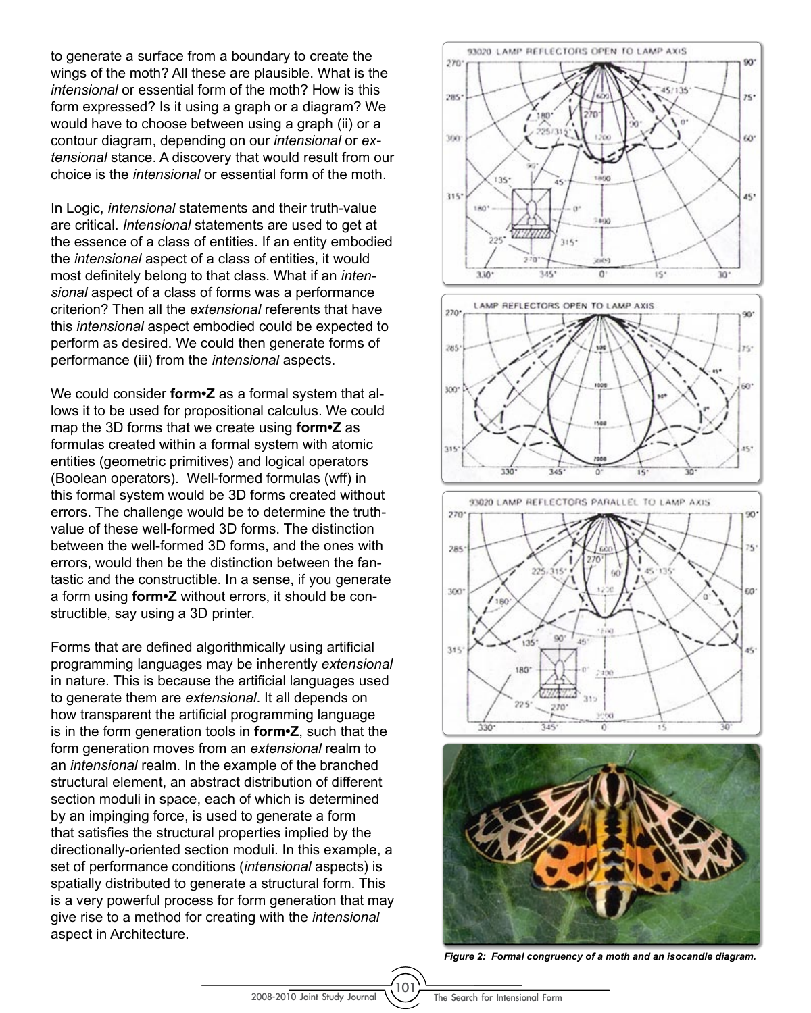to generate a surface from a boundary to create the wings of the moth? All these are plausible. What is the *intensional* or essential form of the moth? How is this form expressed? Is it using a graph or a diagram? We would have to choose between using a graph (ii) or a contour diagram, depending on our *intensional* or *extensional* stance. A discovery that would result from our choice is the *intensional* or essential form of the moth.

In Logic, *intensional* statements and their truth-value are critical. *Intensional* statements are used to get at the essence of a class of entities. If an entity embodied the *intensional* aspect of a class of entities, it would most definitely belong to that class. What if an *intensional* aspect of a class of forms was a performance criterion? Then all the *extensional* referents that have this *intensional* aspect embodied could be expected to perform as desired. We could then generate forms of performance (iii) from the *intensional* aspects.

We could consider **form•Z** as a formal system that allows it to be used for propositional calculus. We could map the 3D forms that we create using **form•Z** as formulas created within a formal system with atomic entities (geometric primitives) and logical operators (Boolean operators). Well-formed formulas (wff) in this formal system would be 3D forms created without errors. The challenge would be to determine the truthvalue of these well-formed 3D forms. The distinction between the well-formed 3D forms, and the ones with errors, would then be the distinction between the fantastic and the constructible. In a sense, if you generate a form using **form•Z** without errors, it should be constructible, say using a 3D printer.

Forms that are defined algorithmically using artificial programming languages may be inherently *extensional* in nature. This is because the artificial languages used to generate them are *extensional*. It all depends on how transparent the artificial programming language is in the form generation tools in **form•Z**, such that the form generation moves from an *extensional* realm to an *intensional* realm. In the example of the branched structural element, an abstract distribution of different section moduli in space, each of which is determined by an impinging force, is used to generate a form that satisfies the structural properties implied by the directionally-oriented section moduli. In this example, a set of performance conditions (*intensional* aspects) is spatially distributed to generate a structural form. This is a very powerful process for form generation that may give rise to a method for creating with the *intensional* aspect in Architecture.



*Figure 2: Formal congruency of a moth and an isocandle diagram.*